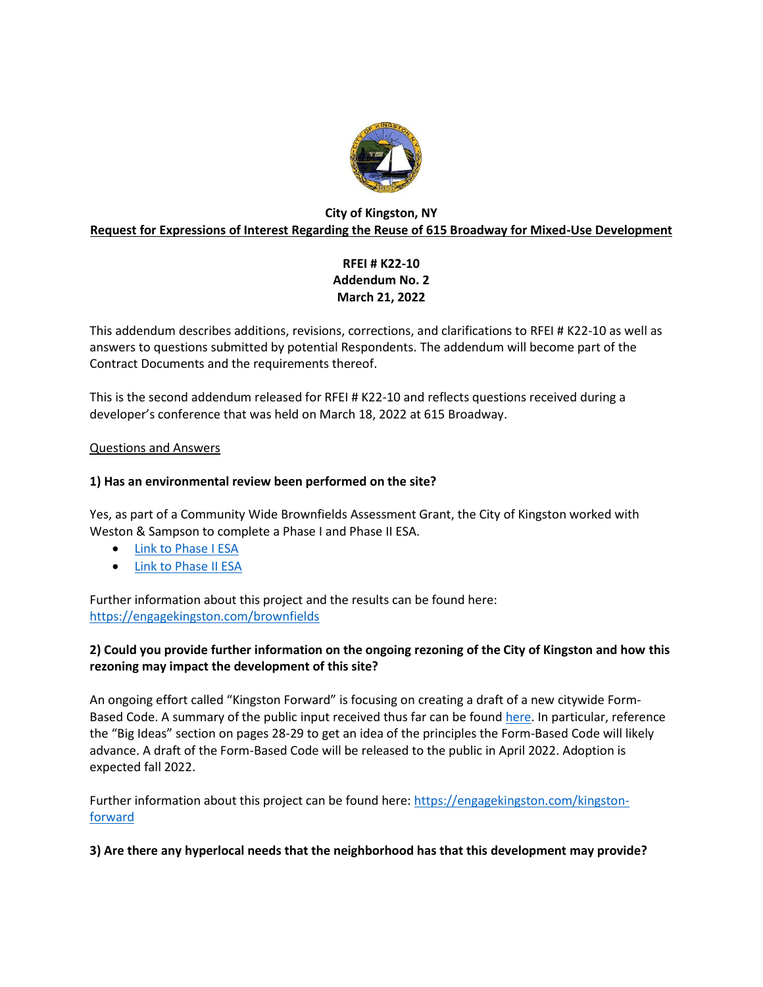

## **City of Kingston, NY Request for Expressions of Interest Regarding the Reuse of 615 Broadway for Mixed-Use Development**

# **RFEI # K22-10 Addendum No. 2 March 21, 2022**

This addendum describes additions, revisions, corrections, and clarifications to RFEI # K22-10 as well as answers to questions submitted by potential Respondents. The addendum will become part of the Contract Documents and the requirements thereof.

This is the second addendum released for RFEI # K22-10 and reflects questions received during a developer's conference that was held on March 18, 2022 at 615 Broadway.

## Questions and Answers

## **1) Has an environmental review been performed on the site?**

Yes, as part of a Community Wide Brownfields Assessment Grant, the City of Kingston worked with Weston & Sampson to complete a Phase I and Phase II ESA.

- [Link to Phase I ESA](https://kingston-ny.gov/filestorage/8399/8469/48370/615_Broadway_Phase_I_ESA_FINAL.pdf)
- [Link to Phase II ESA](https://kingston-ny.gov/filestorage/8399/8469/48370/FINAL_REPORT_615_Broadway.pdf)

Further information about this project and the results can be found here: <https://engagekingston.com/brownfields>

## **2) Could you provide further information on the ongoing rezoning of the City of Kingston and how this rezoning may impact the development of this site?**

An ongoing effort called "Kingston Forward" is focusing on creating a draft of a new citywide FormBased Code. A summary of the public input received thus far can be foun[d here.](https://kingston-ny.gov/filestorage/8399/8469/48370/ac17d450e091a2dd6d06b996a86a395f_Kingston_Forward_Executive_Summary_draft_121421.pdf) In particular, reference the "Big Ideas" section on pages 28-29 to get an idea of the principles the Form-Based Code will likely advance. A draft of the Form-Based Code will be released to the public in April 2022. Adoption is expected fall 2022.

Further information about this project can be found here: [https://engagekingston.com/kingston](https://engagekingston.com/kingston-forward)[forward](https://engagekingston.com/kingston-forward)

**3) Are there any hyperlocal needs that the neighborhood has that this development may provide?**